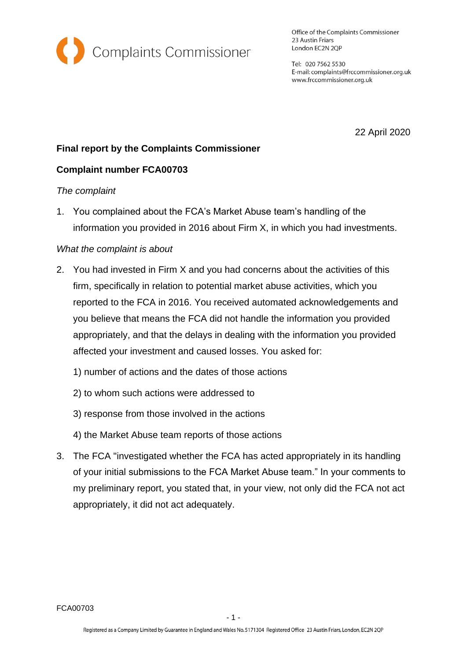

Office of the Complaints Commissioner 23 Austin Friars London EC2N 2QP

Tel: 020 7562 5530 E-mail: complaints@frccommissioner.org.uk www.frccommissioner.org.uk

22 April 2020

# **Final report by the Complaints Commissioner**

## **Complaint number FCA00703**

#### *The complaint*

1. You complained about the FCA's Market Abuse team's handling of the information you provided in 2016 about Firm X, in which you had investments.

### *What the complaint is about*

- 2. You had invested in Firm X and you had concerns about the activities of this firm, specifically in relation to potential market abuse activities, which you reported to the FCA in 2016. You received automated acknowledgements and you believe that means the FCA did not handle the information you provided appropriately, and that the delays in dealing with the information you provided affected your investment and caused losses. You asked for:
	- 1) number of actions and the dates of those actions
	- 2) to whom such actions were addressed to
	- 3) response from those involved in the actions
	- 4) the Market Abuse team reports of those actions
- 3. The FCA "investigated whether the FCA has acted appropriately in its handling of your initial submissions to the FCA Market Abuse team." In your comments to my preliminary report, you stated that, in your view, not only did the FCA not act appropriately, it did not act adequately.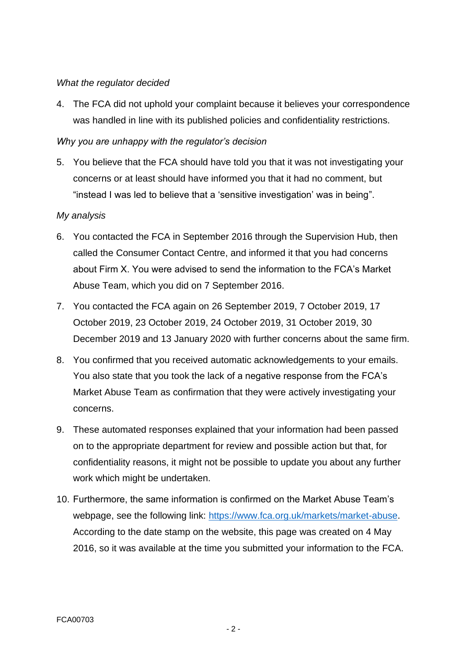### *What the regulator decided*

4. The FCA did not uphold your complaint because it believes your correspondence was handled in line with its published policies and confidentiality restrictions.

### *Why you are unhappy with the regulator's decision*

5. You believe that the FCA should have told you that it was not investigating your concerns or at least should have informed you that it had no comment, but "instead I was led to believe that a 'sensitive investigation' was in being".

### *My analysis*

- 6. You contacted the FCA in September 2016 through the Supervision Hub, then called the Consumer Contact Centre, and informed it that you had concerns about Firm X. You were advised to send the information to the FCA's Market Abuse Team, which you did on 7 September 2016.
- 7. You contacted the FCA again on 26 September 2019, 7 October 2019, 17 October 2019, 23 October 2019, 24 October 2019, 31 October 2019, 30 December 2019 and 13 January 2020 with further concerns about the same firm.
- 8. You confirmed that you received automatic acknowledgements to your emails. You also state that you took the lack of a negative response from the FCA's Market Abuse Team as confirmation that they were actively investigating your concerns.
- 9. These automated responses explained that your information had been passed on to the appropriate department for review and possible action but that, for confidentiality reasons, it might not be possible to update you about any further work which might be undertaken.
- 10. Furthermore, the same information is confirmed on the Market Abuse Team's webpage, see the following link: [https://www.fca.org.uk/markets/market-abuse.](https://www.fca.org.uk/markets/market-abuse) According to the date stamp on the website, this page was created on 4 May 2016, so it was available at the time you submitted your information to the FCA.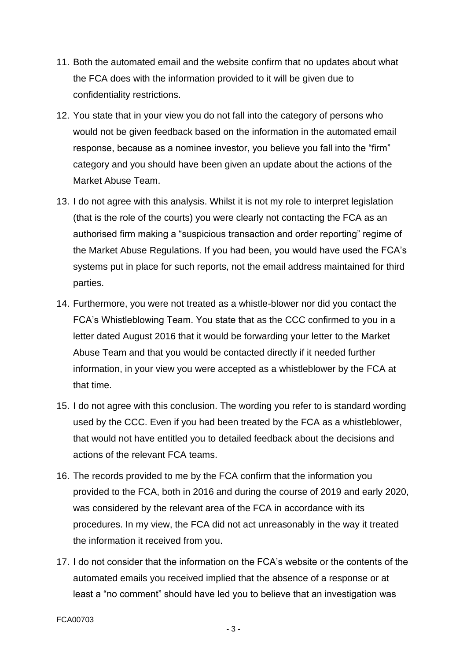- 11. Both the automated email and the website confirm that no updates about what the FCA does with the information provided to it will be given due to confidentiality restrictions.
- 12. You state that in your view you do not fall into the category of persons who would not be given feedback based on the information in the automated email response, because as a nominee investor, you believe you fall into the "firm" category and you should have been given an update about the actions of the Market Abuse Team.
- 13. I do not agree with this analysis. Whilst it is not my role to interpret legislation (that is the role of the courts) you were clearly not contacting the FCA as an authorised firm making a "suspicious transaction and order reporting" regime of the Market Abuse Regulations. If you had been, you would have used the FCA's systems put in place for such reports, not the email address maintained for third parties.
- 14. Furthermore, you were not treated as a whistle-blower nor did you contact the FCA's Whistleblowing Team. You state that as the CCC confirmed to you in a letter dated August 2016 that it would be forwarding your letter to the Market Abuse Team and that you would be contacted directly if it needed further information, in your view you were accepted as a whistleblower by the FCA at that time.
- 15. I do not agree with this conclusion. The wording you refer to is standard wording used by the CCC. Even if you had been treated by the FCA as a whistleblower, that would not have entitled you to detailed feedback about the decisions and actions of the relevant FCA teams.
- 16. The records provided to me by the FCA confirm that the information you provided to the FCA, both in 2016 and during the course of 2019 and early 2020, was considered by the relevant area of the FCA in accordance with its procedures. In my view, the FCA did not act unreasonably in the way it treated the information it received from you.
- 17. I do not consider that the information on the FCA's website or the contents of the automated emails you received implied that the absence of a response or at least a "no comment" should have led you to believe that an investigation was